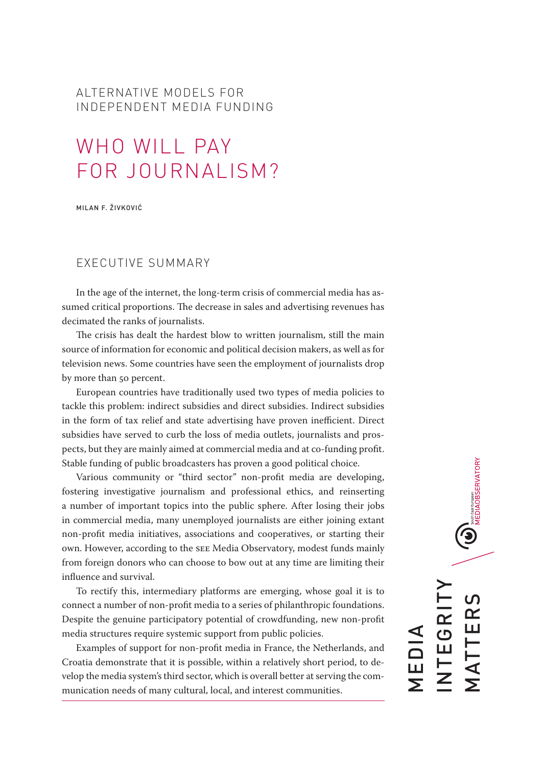# ALTERNATIVE MODELS FOR INDEPENDENT MEDIA FUNDING

# WHO WILL PAY FOR JOURNALISM?

MILAN F. ŽIVKOVIĆ

## EXECUTIVE SUMMARY

In the age of the internet, the long-term crisis of commercial media has assumed critical proportions. The decrease in sales and advertising revenues has decimated the ranks of journalists.

The crisis has dealt the hardest blow to written journalism, still the main source of information for economic and political decision makers, as well as for television news. Some countries have seen the employment of journalists drop by more than 50 percent.

European countries have traditionally used two types of media policies to tackle this problem: indirect subsidies and direct subsidies. Indirect subsidies in the form of tax relief and state advertising have proven inefficient. Direct subsidies have served to curb the loss of media outlets, journalists and prospects, but they are mainly aimed at commercial media and at co-funding profit. Stable funding of public broadcasters has proven a good political choice.

Various community or "third sector" non-profit media are developing, fostering investigative journalism and professional ethics, and reinserting a number of important topics into the public sphere. After losing their jobs in commercial media, many unemployed journalists are either joining extant non-profit media initiatives, associations and cooperatives, or starting their own. However, according to the SEE Media Observatory, modest funds mainly from foreign donors who can choose to bow out at any time are limiting their influence and survival.

To rectify this, intermediary platforms are emerging, whose goal it is to connect a number of non-profit media to a series of philanthropic foundations. Despite the genuine participatory potential of crowdfunding, new non-profit media structures require systemic support from public policies.

Examples of support for non-profit media in France, the Netherlands, and Croatia demonstrate that it is possible, within a relatively short period, to develop the media system's third sector, which is overall better at serving the communication needs of many cultural, local, and interest communities.

 $\bigcirc$   $\bigcirc$   $\mathop{\sum_{\text{Neun-}\, \text{first}}}^{\text{Sugens}}$  envation $\gamma$ INTEGRITY  $\overline{C}$ MATTERS NTEGRI MATTER MEDIA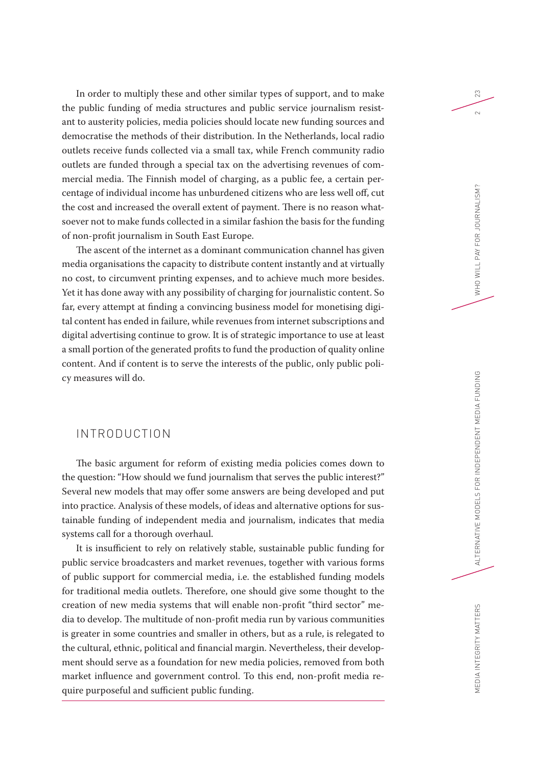In order to multiply these and other similar types of support, and to make the public funding of media structures and public service journalism resistant to austerity policies, media policies should locate new funding sources and democratise the methods of their distribution. In the Netherlands, local radio outlets receive funds collected via a small tax, while French community radio outlets are funded through a special tax on the advertising revenues of commercial media. The Finnish model of charging, as a public fee, a certain percentage of individual income has unburdened citizens who are less well off, cut the cost and increased the overall extent of payment. There is no reason whatsoever not to make funds collected in a similar fashion the basis for the funding of non-profit journalism in South East Europe.

The ascent of the internet as a dominant communication channel has given media organisations the capacity to distribute content instantly and at virtually no cost, to circumvent printing expenses, and to achieve much more besides. Yet it has done away with any possibility of charging for journalistic content. So far, every attempt at finding a convincing business model for monetising digital content has ended in failure, while revenues from internet subscriptions and digital advertising continue to grow. It is of strategic importance to use at least a small portion of the generated profits to fund the production of quality online content. And if content is to serve the interests of the public, only public policy measures will do.

## INTRODUCTION

The basic argument for reform of existing media policies comes down to the question: "How should we fund journalism that serves the public interest?" Several new models that may offer some answers are being developed and put into practice. Analysis of these models, of ideas and alternative options for sustainable funding of independent media and journalism, indicates that media systems call for a thorough overhaul.

It is insufficient to rely on relatively stable, sustainable public funding for public service broadcasters and market revenues, together with various forms of public support for commercial media, i.e. the established funding models for traditional media outlets. Therefore, one should give some thought to the creation of new media systems that will enable non-profit "third sector" media to develop. The multitude of non-profit media run by various communities is greater in some countries and smaller in others, but as a rule, is relegated to the cultural, ethnic, political and financial margin. Nevertheless, their development should serve as a foundation for new media policies, removed from both market influence and government control. To this end, non-profit media require purposeful and sufficient public funding.

23

 $\sim$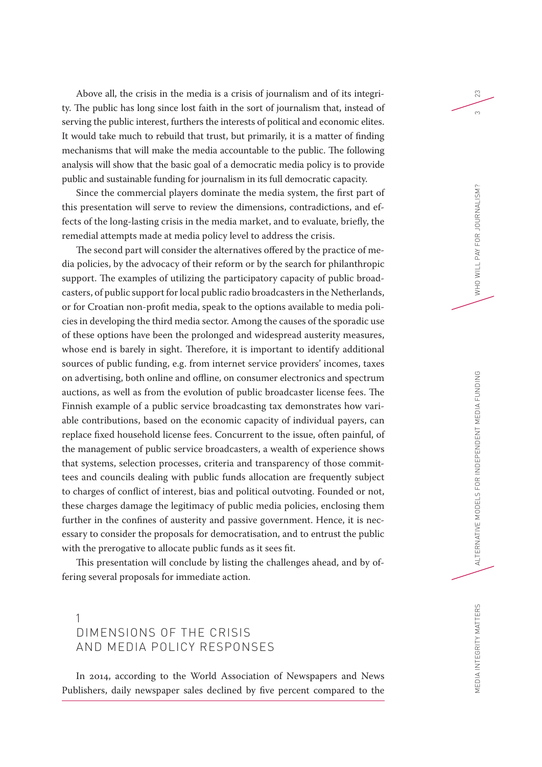Above all, the crisis in the media is a crisis of journalism and of its integrity. The public has long since lost faith in the sort of journalism that, instead of serving the public interest, furthers the interests of political and economic elites. It would take much to rebuild that trust, but primarily, it is a matter of finding mechanisms that will make the media accountable to the public. The following analysis will show that the basic goal of a democratic media policy is to provide public and sustainable funding for journalism in its full democratic capacity.

Since the commercial players dominate the media system, the first part of this presentation will serve to review the dimensions, contradictions, and effects of the long-lasting crisis in the media market, and to evaluate, briefly, the remedial attempts made at media policy level to address the crisis.

The second part will consider the alternatives offered by the practice of media policies, by the advocacy of their reform or by the search for philanthropic support. The examples of utilizing the participatory capacity of public broadcasters, of public support for local public radio broadcasters in the Netherlands, or for Croatian non-profit media, speak to the options available to media policies in developing the third media sector. Among the causes of the sporadic use of these options have been the prolonged and widespread austerity measures, whose end is barely in sight. Therefore, it is important to identify additional sources of public funding, e.g. from internet service providers' incomes, taxes on advertising, both online and offline, on consumer electronics and spectrum auctions, as well as from the evolution of public broadcaster license fees. The Finnish example of a public service broadcasting tax demonstrates how variable contributions, based on the economic capacity of individual payers, can replace fixed household license fees. Concurrent to the issue, often painful, of the management of public service broadcasters, a wealth of experience shows that systems, selection processes, criteria and transparency of those committees and councils dealing with public funds allocation are frequently subject to charges of conflict of interest, bias and political outvoting. Founded or not, these charges damage the legitimacy of public media policies, enclosing them further in the confines of austerity and passive government. Hence, it is necessary to consider the proposals for democratisation, and to entrust the public with the prerogative to allocate public funds as it sees fit.

This presentation will conclude by listing the challenges ahead, and by offering several proposals for immediate action.

# 1 DIMENSIONS OF THE CRISIS AND MEDIA POLICY RESPONSES

In 2014, according to the World Association of Newspapers and News Publishers, daily newspaper sales declined by five percent compared to the 23

 $\infty$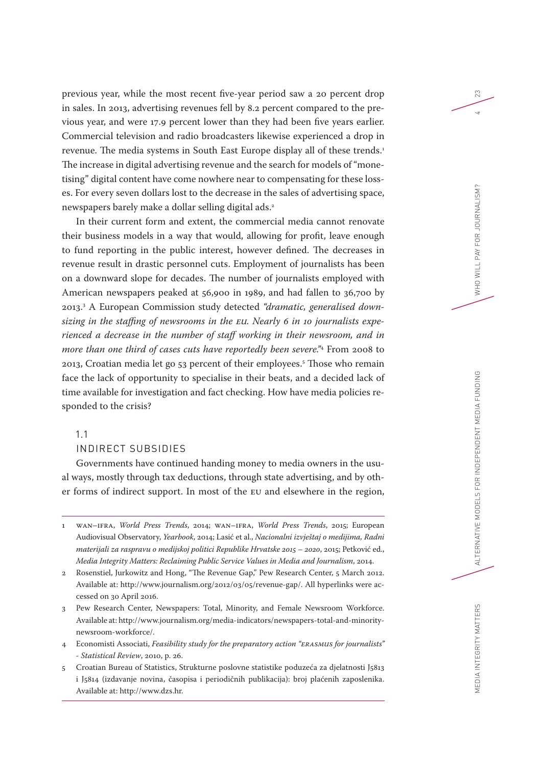previous year, while the most recent five-year period saw a 20 percent drop in sales. In 2013, advertising revenues fell by 8.2 percent compared to the previous year, and were 17.9 percent lower than they had been five years earlier. Commercial television and radio broadcasters likewise experienced a drop in revenue. The media systems in South East Europe display all of these trends.<sup>1</sup> The increase in digital advertising revenue and the search for models of "monetising" digital content have come nowhere near to compensating for these losses. For every seven dollars lost to the decrease in the sales of advertising space, newspapers barely make a dollar selling digital ads.2

In their current form and extent, the commercial media cannot renovate their business models in a way that would, allowing for profit, leave enough to fund reporting in the public interest, however defined. The decreases in revenue result in drastic personnel cuts. Employment of journalists has been on a downward slope for decades. The number of journalists employed with American newspapers peaked at 56,900 in 1989, and had fallen to 36,700 by 2013.3 A European Commission study detected *"dramatic, generalised downsizing in the staffing of newsrooms in the EU. Nearly 6 in 10 journalists experienced a decrease in the number of staff working in their newsroom, and in more than one third of cases cuts have reportedly been severe."*<sup>4</sup> From 2008 to 2013, Croatian media let go 53 percent of their employees.5 Those who remain face the lack of opportunity to specialise in their beats, and a decided lack of time available for investigation and fact checking. How have media policies responded to the crisis?

## 1.1

#### INDIRECT SUBSIDIES

Governments have continued handing money to media owners in the usual ways, mostly through tax deductions, through state advertising, and by other forms of indirect support. In most of the EU and elsewhere in the region,

- 1 WAN–IFRA, *World Press Trends*, 2014; WAN–IFRA, *World Press Trends*, 2015; European Audiovisual Observatory, *Yearbook*, 2014; Lasić et al., *Nacionalni izvještaj o medijima, Radni materijali za raspravu o medijskoj politici Republike Hrvatske 2015 – 2020*, 2015; Petković ed., *Media Integrity Matters: Reclaiming Public Service Values in Media and Journalism*, 2014.
- 2 Rosenstiel, Jurkowitz and Hong, "The Revenue Gap," Pew Research Center, 5 March 2012. Available at: [http://www.journalism.org/2012/03/05/revenue-gap/.](http://www.journalism.org/2012/03/05/revenue-gap/) All hyperlinks were accessed on 30 April 2016.
- 3 Pew Research Center, Newspapers: Total, Minority, and Female Newsroom Workforce. Available at: [http://www.journalism.org/media-indicators/newspapers-total-and-minority](http://www.journalism.org/media-indicators/newspapers-total-and-minority-newsroom-workforce/)[newsroom-workforce/.](http://www.journalism.org/media-indicators/newspapers-total-and-minority-newsroom-workforce/)
- 4 Economisti Associati, *Feasibility study for the preparatory action "ERASMUS for journalists" - Statistical Review*, 2010, p. 26.
- 5 Croatian Bureau of Statistics, Strukturne poslovne statistike poduzeća za djelatnosti J5813 i J5814 (izdavanje novina, časopisa i periodičnih publikacija): broj plaćenih zaposlenika. Available at:<http://www.dzs.hr>.

23

 $\overline{a}$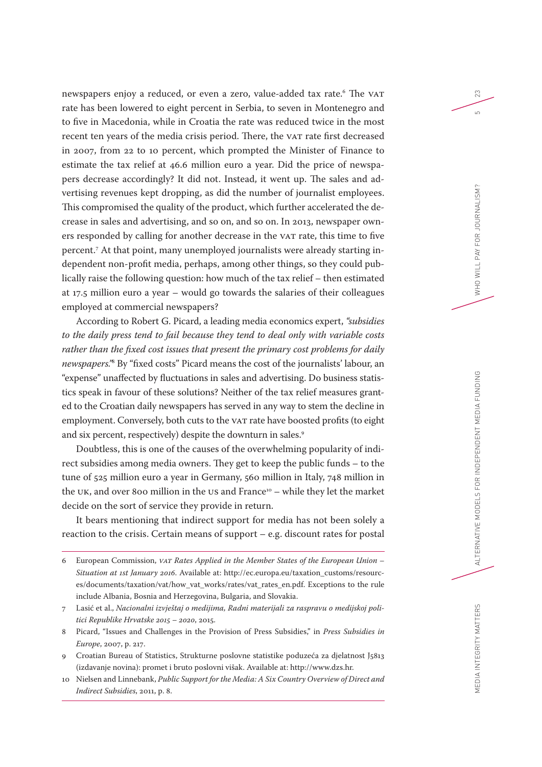newspapers enjoy a reduced, or even a zero, value-added tax rate. 6 The VAT rate has been lowered to eight percent in Serbia, to seven in Montenegro and to five in Macedonia, while in Croatia the rate was reduced twice in the most recent ten years of the media crisis period. There, the VAT rate first decreased in 2007, from 22 to 10 percent, which prompted the Minister of Finance to estimate the tax relief at 46.6 million euro a year. Did the price of newspapers decrease accordingly? It did not. Instead, it went up. The sales and advertising revenues kept dropping, as did the number of journalist employees. This compromised the quality of the product, which further accelerated the decrease in sales and advertising, and so on, and so on. In 2013, newspaper owners responded by calling for another decrease in the VAT rate, this time to five percent.7 At that point, many unemployed journalists were already starting independent non-profit media, perhaps, among other things, so they could publically raise the following question: how much of the tax relief – then estimated at 17.5 million euro a year – would go towards the salaries of their colleagues employed at commercial newspapers?

According to Robert G. Picard, a leading media economics expert, *"subsidies to the daily press tend to fail because they tend to deal only with variable costs rather than the fixed cost issues that present the primary cost problems for daily newspapers."*<sup>8</sup> By "fixed costs" Picard means the cost of the journalists' labour, an "expense" unaffected by fluctuations in sales and advertising. Do business statistics speak in favour of these solutions? Neither of the tax relief measures granted to the Croatian daily newspapers has served in any way to stem the decline in employment. Conversely, both cuts to the VAT rate have boosted profits (to eight and six percent, respectively) despite the downturn in sales.<sup>9</sup>

Doubtless, this is one of the causes of the overwhelming popularity of indirect subsidies among media owners. They get to keep the public funds – to the tune of 525 million euro a year in Germany, 560 million in Italy, 748 million in the UK, and over 800 million in the US and France<sup>10</sup> – while they let the market decide on the sort of service they provide in return.

It bears mentioning that indirect support for media has not been solely a reaction to the crisis. Certain means of support – e.g. discount rates for postal

- 7 Lasić et al., *Nacionalni izvještaj o medijima, Radni materijali za raspravu o medijskoj politici Republike Hrvatske 2015 – 2020*, 2015.
- 8 Picard, "Issues and Challenges in the Provision of Press Subsidies," in *Press Subsidies in Europe*, 2007, p. 217.
- 9 Croatian Bureau of Statistics, Strukturne poslovne statistike poduzeća za djelatnost J5813 (izdavanje novina): promet i bruto poslovni višak. Available at: [http://www.dzs.hr.](http://www.dzs.hr)
- 10 Nielsen and Linnebank, *Public Support for the Media: A Six Country Overview of Direct and Indirect Subsidies*, 2011, p. 8.

23

 $\overline{5}$ 

<sup>6</sup> European Commission, *VAT Rates Applied in the Member States of the European Union – Situation at 1st January 2016*. Available at: [http://ec.europa.eu/taxation\\_customs/resourc](http://ec.europa.eu/taxation_customs/resources/documents/taxation/vat/how_vat_works/rates/vat_rates_en.pdf)[es/documents/taxation/vat/how\\_vat\\_works/rates/vat\\_rates\\_en.pdf](http://ec.europa.eu/taxation_customs/resources/documents/taxation/vat/how_vat_works/rates/vat_rates_en.pdf). Exceptions to the rule include Albania, Bosnia and Herzegovina, Bulgaria, and Slovakia.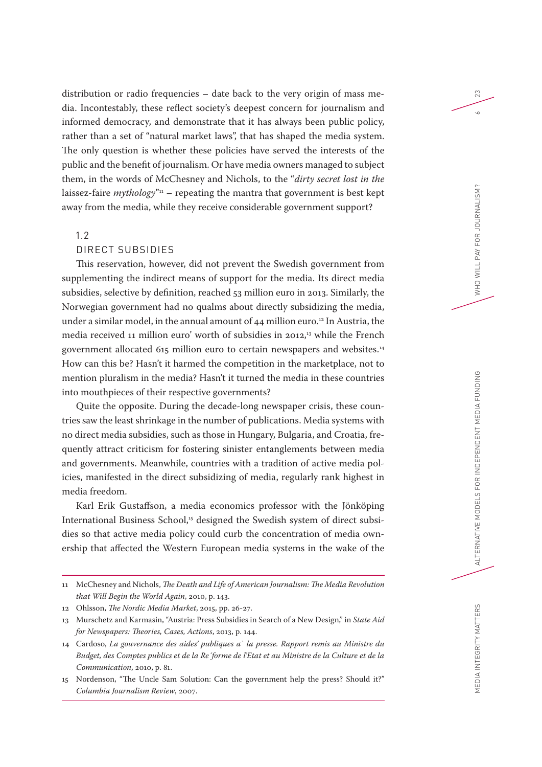distribution or radio frequencies – date back to the very origin of mass media. Incontestably, these reflect society's deepest concern for journalism and informed democracy, and demonstrate that it has always been public policy, rather than a set of "natural market laws", that has shaped the media system. The only question is whether these policies have served the interests of the public and the benefit of journalism. Or have media owners managed to subject them, in the words of McChesney and Nichols, to the "*dirty secret lost in the*  laissez-faire  $mythology<sup>n1</sup>$  – repeating the mantra that government is best kept away from the media, while they receive considerable government support?

## 1.2

#### DIRECT SUBSIDIES

This reservation, however, did not prevent the Swedish government from supplementing the indirect means of support for the media. Its direct media subsidies, selective by definition, reached 53 million euro in 2013. Similarly, the Norwegian government had no qualms about directly subsidizing the media, under a similar model, in the annual amount of 44 million euro.<sup>12</sup> In Austria, the media received 11 million euro' worth of subsidies in 2012,13 while the French government allocated 615 million euro to certain newspapers and websites.14 How can this be? Hasn't it harmed the competition in the marketplace, not to mention pluralism in the media? Hasn't it turned the media in these countries into mouthpieces of their respective governments?

Quite the opposite. During the decade-long newspaper crisis, these countries saw the least shrinkage in the number of publications. Media systems with no direct media subsidies, such as those in Hungary, Bulgaria, and Croatia, frequently attract criticism for fostering sinister entanglements between media and governments. Meanwhile, countries with a tradition of active media policies, manifested in the direct subsidizing of media, regularly rank highest in media freedom.

Karl Erik Gustaffson, a media economics professor with the Jönköping International Business School,<sup>15</sup> designed the Swedish system of direct subsidies so that active media policy could curb the concentration of media ownership that affected the Western European media systems in the wake of the 23

 $\sim$ 

<sup>11</sup> McChesney and Nichols, *The Death and Life of American Journalism: The Media Revolution that Will Begin the World Again*, 2010, p. 143.

<sup>12</sup> Ohlsson, *The Nordic Media Market*, 2015, pp. 26-27.

<sup>13</sup> Murschetz and Karmasin, "Austria: Press Subsidies in Search of a New Design," in *State Aid for Newspapers: Theories, Cases, Actions*, 2013, p. 144.

<sup>14</sup> Cardoso, *La gouvernance des aides' publiques a` la presse. Rapport remis au Ministre du Budget, des Comptes publics et de la Re´forme de l'Etat et au Ministre de la Culture et de la Communication*, 2010, p. 81.

<sup>15</sup> Nordenson, "The Uncle Sam Solution: Can the government help the press? Should it?" *Columbia Journalism Review*, 2007.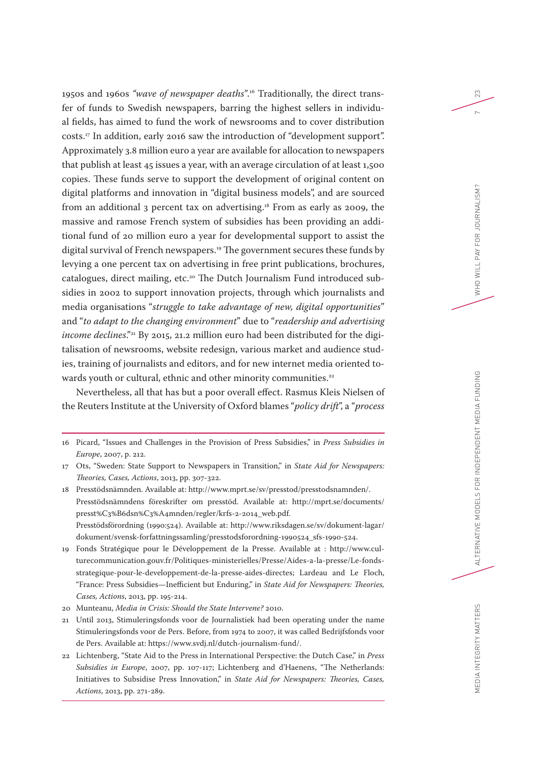1950s and 1960s *"wave of newspaper deaths"*.16 Traditionally, the direct transfer of funds to Swedish newspapers, barring the highest sellers in individual fields, has aimed to fund the work of newsrooms and to cover distribution costs.17 In addition, early 2016 saw the introduction of "development support". Approximately 3.8 million euro a year are available for allocation to newspapers that publish at least 45 issues a year, with an average circulation of at least 1,500 copies. These funds serve to support the development of original content on digital platforms and innovation in "digital business models", and are sourced from an additional 3 percent tax on advertising.18 From as early as 2009, the massive and ramose French system of subsidies has been providing an additional fund of 20 million euro a year for developmental support to assist the digital survival of French newspapers.19 The government secures these funds by levying a one percent tax on advertising in free print publications, brochures, catalogues, direct mailing, etc.20 The Dutch Journalism Fund introduced subsidies in 2002 to support innovation projects, through which journalists and media organisations "*struggle to take advantage of new, digital opportunities*" and "*to adapt to the changing environment*" due to "*readership and advertising income declines.*"<sup>21</sup> By 2015, 21.2 million euro had been distributed for the digitalisation of newsrooms, website redesign, various market and audience studies, training of journalists and editors, and for new internet media oriented towards youth or cultural, ethnic and other minority communities.<sup>22</sup>

Nevertheless, all that has but a poor overall effect. Rasmus Kleis Nielsen of the Reuters Institute at the University of Oxford blames "*policy drift*", a "*process* 

- 19 Fonds Stratégique pour le Développement de la Presse. Available at : [http://www.cul](http://www.culturecommunication.gouv.fr/Politiques-ministerielles/Presse/Aides-a-la-presse/Le-fonds-strategique-pour-le-developpement-de-la-presse-aides-directes)[turecommunication.gouv.fr/Politiques-ministerielles/Presse/Aides-a-la-presse/Le-fonds](http://www.culturecommunication.gouv.fr/Politiques-ministerielles/Presse/Aides-a-la-presse/Le-fonds-strategique-pour-le-developpement-de-la-presse-aides-directes)[strategique-pour-le-developpement-de-la-presse-aides-directes;](http://www.culturecommunication.gouv.fr/Politiques-ministerielles/Presse/Aides-a-la-presse/Le-fonds-strategique-pour-le-developpement-de-la-presse-aides-directes) Lardeau and Le Floch, "France: Press Subsidies—Inefficient but Enduring," in *State Aid for Newspapers: Theories, Cases, Actions*, 2013, pp. 195-214.
- 20 Munteanu, *Media in Crisis: Should the State Intervene?* 2010.
- 21 Until 2013, Stimuleringsfonds voor de Journalistiek had been operating under the name Stimuleringsfonds voor de Pers. Before, from 1974 to 2007, it was called Bedrijfsfonds voor de Pers. Available at: <https://www.svdj.nl/dutch-journalism-fund/>.
- 22 Lichtenberg, "State Aid to the Press in International Perspective: the Dutch Case," in *Press Subsidies in Europe*, 2007, pp. 107-117; Lichtenberg and d'Haenens, "The Netherlands: Initiatives to Subsidise Press Innovation," in *State Aid for Newspapers: Theories, Cases, Actions*, 2013, pp. 271-289.

23

<sup>16</sup> Picard, "Issues and Challenges in the Provision of Press Subsidies," in *Press Subsidies in Europe*, 2007, p. 212.

<sup>17</sup> Ots, "Sweden: State Support to Newspapers in Transition," in *State Aid for Newspapers: Theories, Cases, Actions*, 2013, pp. 307-322.

<sup>18</sup> Presstödsnämnden. Available at:<http://www.mprt.se/sv/presstod/presstodsnamnden/>. Presstödsnämndens föreskrifter om presstöd. Available at: [http://mprt.se/documents/](http://mprt.se/documents/presst%C3%B6dsn%C3%A4mnden/regler/krfs-2-2014_web.pdf) [presst%C3%B6dsn%C3%A4mnden/regler/krfs-2-2014\\_web.pdf](http://mprt.se/documents/presst%C3%B6dsn%C3%A4mnden/regler/krfs-2-2014_web.pdf). Presstödsförordning (1990:524). Available at: [http://www.riksdagen.se/sv/dokument-lagar/](http://www.riksdagen.se/sv/dokument-lagar/dokument/svensk-forfattningssamling/presstodsforordning-1990524_sfs-1990-524) [dokument/svensk-forfattningssamling/presstodsforordning-1990524\\_sfs-1990-524](http://www.riksdagen.se/sv/dokument-lagar/dokument/svensk-forfattningssamling/presstodsforordning-1990524_sfs-1990-524).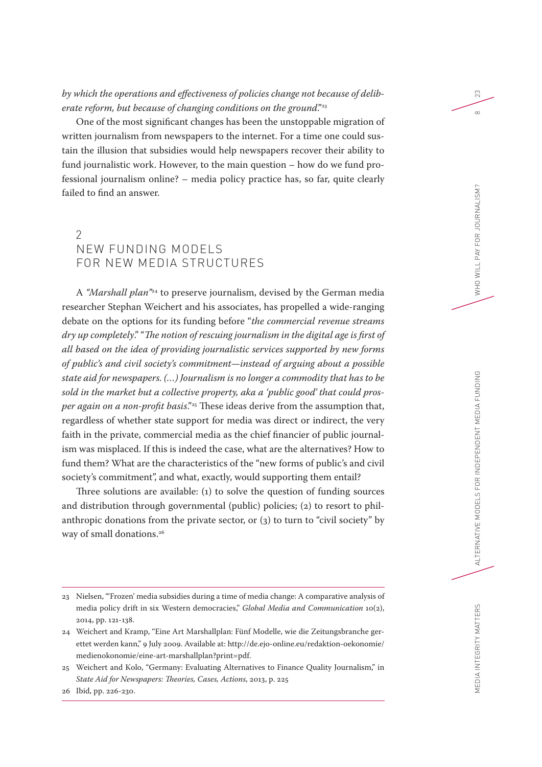## *by which the operations and effectiveness of policies change not because of deliberate reform, but because of changing conditions on the ground."*<sup>23</sup>

One of the most significant changes has been the unstoppable migration of written journalism from newspapers to the internet. For a time one could sustain the illusion that subsidies would help newspapers recover their ability to fund journalistic work. However, to the main question – how do we fund professional journalism online? – media policy practice has, so far, quite clearly failed to find an answer.

# $\mathcal{P}$ NEW FUNDING MODELS FOR NEW MEDIA STRUCTURES

A *"Marshall plan"*24 to preserve journalism, devised by the German media researcher Stephan Weichert and his associates, has propelled a wide-ranging debate on the options for its funding before "*the commercial revenue streams dry up completely*." "*The notion of rescuing journalism in the digital age is first of all based on the idea of providing journalistic services supported by new forms of public's and civil society's commitment—instead of arguing about a possible state aid for newspapers. (…) Journalism is no longer a commodity that has to be sold in the market but a collective property, aka a 'public good' that could prosper again on a non-profit basis*."25 These ideas derive from the assumption that, regardless of whether state support for media was direct or indirect, the very faith in the private, commercial media as the chief financier of public journalism was misplaced. If this is indeed the case, what are the alternatives? How to fund them? What are the characteristics of the "new forms of public's and civil society's commitment", and what, exactly, would supporting them entail?

Three solutions are available: (1) to solve the question of funding sources and distribution through governmental (public) policies; (2) to resort to philanthropic donations from the private sector, or (3) to turn to "civil society" by way of small donations.<sup>26</sup>

23

 $\infty$ 

<sup>23</sup> Nielsen, "'Frozen' media subsidies during a time of media change: A comparative analysis of media policy drift in six Western democracies," *Global Media and Communication* 10(2), 2014, pp. 121-138.

<sup>24</sup> Weichert and Kramp, "Eine Art Marshallplan: Fünf Modelle, wie die Zeitungsbranche gerettet werden kann," 9 July 2009. Available at: [http://de.ejo-online.eu/redaktion-oekonomie/](http://de.ejo-online.eu/redaktion-oekonomie/medienokonomie/eine-art-marshallplan?print=pdf) [medienokonomie/eine-art-marshallplan?print=pdf.](http://de.ejo-online.eu/redaktion-oekonomie/medienokonomie/eine-art-marshallplan?print=pdf)

<sup>25</sup> Weichert and Kolo, "Germany: Evaluating Alternatives to Finance Quality Journalism," in *State Aid for Newspapers: Theories, Cases, Actions*, 2013, p. 225

<sup>26</sup> Ibid, pp. 226-230.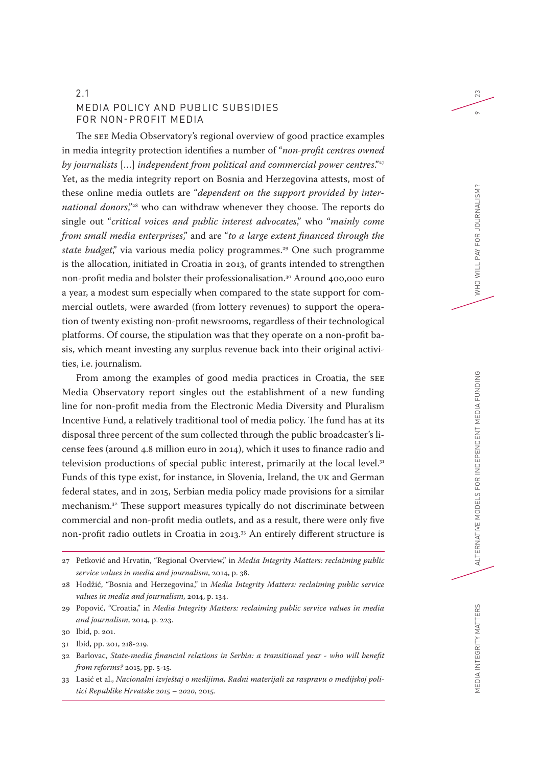## 2.1 MEDIA POLICY AND PUBLIC SUBSIDIES FOR NON-PROFIT MEDIA

The SEE Media Observatory's regional overview of good practice examples in media integrity protection identifies a number of "*non-profit centres owned by journalists* […] *independent from political and commercial power centres*."27 Yet, as the media integrity report on Bosnia and Herzegovina attests, most of these online media outlets are "*dependent on the support provided by international donors*,"28 who can withdraw whenever they choose. The reports do single out "*critical voices and public interest advocates*," who "*mainly come from small media enterprises*," and are "*to a large extent financed through the state budget*," via various media policy programmes.<sup>29</sup> One such programme is the allocation, initiated in Croatia in 2013, of grants intended to strengthen non-profit media and bolster their professionalisation.<sup>30</sup> Around 400,000 euro a year, a modest sum especially when compared to the state support for commercial outlets, were awarded (from lottery revenues) to support the operation of twenty existing non-profit newsrooms, regardless of their technological platforms. Of course, the stipulation was that they operate on a non-profit basis, which meant investing any surplus revenue back into their original activities, i.e. journalism.

From among the examples of good media practices in Croatia, the SEE Media Observatory report singles out the establishment of a new funding line for non-profit media from the Electronic Media Diversity and Pluralism Incentive Fund, a relatively traditional tool of media policy. The fund has at its disposal three percent of the sum collected through the public broadcaster's license fees (around 4.8 million euro in 2014), which it uses to finance radio and television productions of special public interest, primarily at the local level.<sup>31</sup> Funds of this type exist, for instance, in Slovenia, Ireland, the UK and German federal states, and in 2015, Serbian media policy made provisions for a similar mechanism.32 These support measures typically do not discriminate between commercial and non-profit media outlets, and as a result, there were only five non-profit radio outlets in Croatia in 2013.33 An entirely different structure is

23

<sup>27</sup> Petković and Hrvatin, "Regional Overview," in *Media Integrity Matters: reclaiming public service values in media and journalism*, 2014, p. 38.

<sup>28</sup> Hodžić, "Bosnia and Herzegovina," in *Media Integrity Matters: reclaiming public service values in media and journalism*, 2014, p. 134.

<sup>29</sup> Popović, "Croatia," in *Media Integrity Matters: reclaiming public service values in media and journalism*, 2014, p. 223.

<sup>30</sup> Ibid, p. 201.

<sup>31</sup> Ibid, pp. 201, 218-219.

<sup>32</sup> Barlovac, *State-media financial relations in Serbia: a transitional year - who will benefit from reforms?* 2015, pp. 5-15.

<sup>33</sup> Lasić et al., *Nacionalni izvještaj o medijima, Radni materijali za raspravu o medijskoj politici Republike Hrvatske 2015 – 2020*, 2015.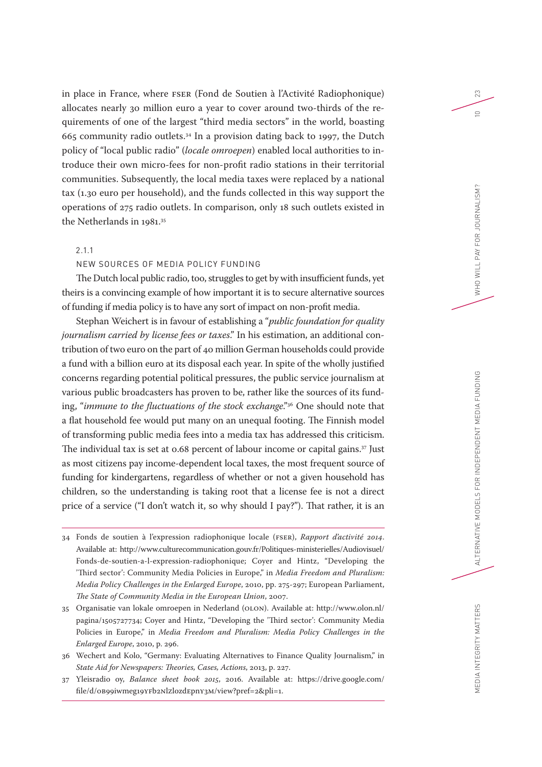in place in France, where FSER (Fond de Soutien à l'Activité Radiophonique) allocates nearly 30 million euro a year to cover around two-thirds of the requirements of one of the largest "third media sectors" in the world, boasting 665 community radio outlets.34 In a provision dating back to 1997, the Dutch policy of "local public radio" (*locale omroepen*) enabled local authorities to introduce their own micro-fees for non-profit radio stations in their territorial communities. Subsequently, the local media taxes were replaced by a national tax (1.30 euro per household), and the funds collected in this way support the operations of 275 radio outlets. In comparison, only 18 such outlets existed in the Netherlands in 1981.<sup>35</sup>

#### 2.1.1

#### NEW SOURCES OF MEDIA POLICY FUNDING

The Dutch local public radio, too, struggles to get by with insufficient funds, yet theirs is a convincing example of how important it is to secure alternative sources of funding if media policy is to have any sort of impact on non-profit media.

Stephan Weichert is in favour of establishing a "*public foundation for quality journalism carried by license fees or taxes*." In his estimation, an additional contribution of two euro on the part of 40 million German households could provide a fund with a billion euro at its disposal each year. In spite of the wholly justified concerns regarding potential political pressures, the public service journalism at various public broadcasters has proven to be, rather like the sources of its funding, "*immune to the fluctuations of the stock exchange*."36 One should note that a flat household fee would put many on an unequal footing. The Finnish model of transforming public media fees into a media tax has addressed this criticism. The individual tax is set at 0.68 percent of labour income or capital gains.37 Just as most citizens pay income-dependent local taxes, the most frequent source of funding for kindergartens, regardless of whether or not a given household has children, so the understanding is taking root that a license fee is not a direct price of a service ("I don't watch it, so why should I pay?"). That rather, it is an

- 34 Fonds de soutien à l'expression radiophonique locale (FSER), *Rapport d'activité 2014*. Available at: [http://www.culturecommunication.gouv.fr/Politiques-ministerielles/Audiovisuel/](http://www.culturecommunication.gouv.fr/Politiques-ministerielles/Audiovisuel/Fonds-de-soutien-a-l-expression-radiophonique) [Fonds-de-soutien-a-l-expression-radiophonique](http://www.culturecommunication.gouv.fr/Politiques-ministerielles/Audiovisuel/Fonds-de-soutien-a-l-expression-radiophonique); Coyer and Hintz, "Developing the 'Third sector': Community Media Policies in Europe," in *Media Freedom and Pluralism: Media Policy Challenges in the Enlarged Europe*, 2010, pp. 275-297; European Parliament, *The State of Community Media in the European Union*, 2007.
- 35 Organisatie van lokale omroepen in Nederland (OLON). Available at: [http://www.olon.nl/](http://www.olon.nl/pagina/1505727734) [pagina/1505727734;](http://www.olon.nl/pagina/1505727734) Coyer and Hintz, "Developing the 'Third sector': Community Media Policies in Europe," in *Media Freedom and Pluralism: Media Policy Challenges in the Enlarged Europe*, 2010, p. 296.
- 36 Wechert and Kolo, "Germany: Evaluating Alternatives to Finance Quality Journalism," in *State Aid for Newspapers: Theories, Cases, Actions*, 2013, p. 227.
- 37 Yleisradio oy, *Balance sheet book 2015*, 2016. Available at: [https://drive.google.com/](https://drive.google.com/file/d/0B99iwmeg19YFb2NlZlozdEpnY3M/view?pref=2&pli=1) [file/d/0B99iwmeg19YFb2NlZlozdEpnY3M/view?pref=2&pli=1](https://drive.google.com/file/d/0B99iwmeg19YFb2NlZlozdEpnY3M/view?pref=2&pli=1).

23

 $\supseteq$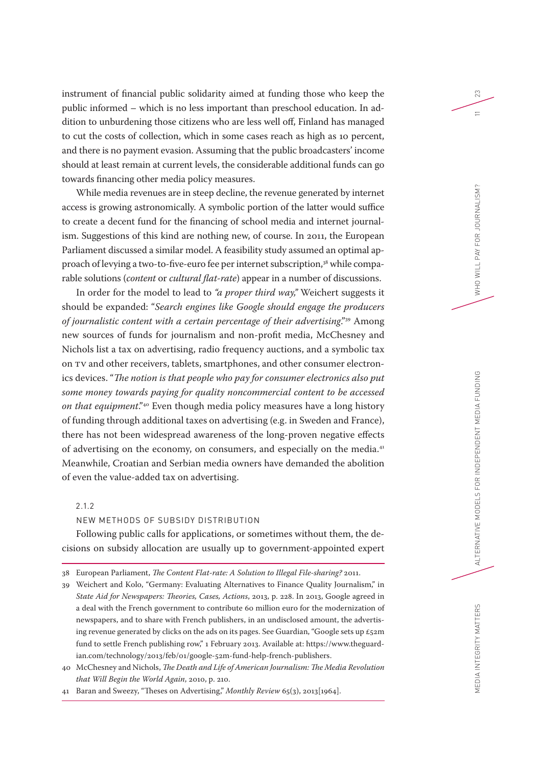instrument of financial public solidarity aimed at funding those who keep the public informed – which is no less important than preschool education. In addition to unburdening those citizens who are less well off, Finland has managed to cut the costs of collection, which in some cases reach as high as 10 percent, and there is no payment evasion. Assuming that the public broadcasters' income should at least remain at current levels, the considerable additional funds can go towards financing other media policy measures.

While media revenues are in steep decline, the revenue generated by internet access is growing astronomically. A symbolic portion of the latter would suffice to create a decent fund for the financing of school media and internet journalism. Suggestions of this kind are nothing new, of course. In 2011, the European Parliament discussed a similar model. A feasibility study assumed an optimal approach of levying a two-to-five-euro fee per internet subscription,<sup>38</sup> while comparable solutions (*content* or *cultural flat-rate*) appear in a number of discussions.

In order for the model to lead to *"a proper third way,"* Weichert suggests it should be expanded: "*Search engines like Google should engage the producers of journalistic content with a certain percentage of their advertising*."39 Among new sources of funds for journalism and non-profit media, McChesney and Nichols list a tax on advertising, radio frequency auctions, and a symbolic tax on TV and other receivers, tablets, smartphones, and other consumer electronics devices. "*The notion is that people who pay for consumer electronics also put some money towards paying for quality noncommercial content to be accessed on that equipment*."40 Even though media policy measures have a long history of funding through additional taxes on advertising (e.g. in Sweden and France), there has not been widespread awareness of the long-proven negative effects of advertising on the economy, on consumers, and especially on the media.<sup>41</sup> Meanwhile, Croatian and Serbian media owners have demanded the abolition of even the value-added tax on advertising.

#### 2.1.2

#### NEW METHODS OF SUBSIDY DISTRIBUTION

Following public calls for applications, or sometimes without them, the decisions on subsidy allocation are usually up to government-appointed expert 23

 $=$ 

<sup>38</sup> European Parliament, *The Content Flat-rate: A Solution to Illegal File-sharing?* 2011.

<sup>39</sup> Weichert and Kolo, "Germany: Evaluating Alternatives to Finance Quality Journalism," in *State Aid for Newspapers: Theories, Cases, Actions*, 2013, p. 228. In 2013, Google agreed in a deal with the French government to contribute 60 million euro for the modernization of newspapers, and to share with French publishers, in an undisclosed amount, the advertising revenue generated by clicks on the ads on its pages. See Guardian, "Google sets up £52m fund to settle French publishing row," 1 February 2013. Available at: [https://www.theguard](https://www.theguardian.com/technology/2013/feb/01/google-52m-fund-help-french-publishers)[ian.com/technology/2013/feb/01/google-52m-fund-help-french-publishers](https://www.theguardian.com/technology/2013/feb/01/google-52m-fund-help-french-publishers).

<sup>40</sup> McChesney and Nichols, *The Death and Life of American Journalism: The Media Revolution that Will Begin the World Again*, 2010, p. 210.

<sup>41</sup> Baran and Sweezy, "Theses on Advertising," *Monthly Review* 65(3), 2013[1964].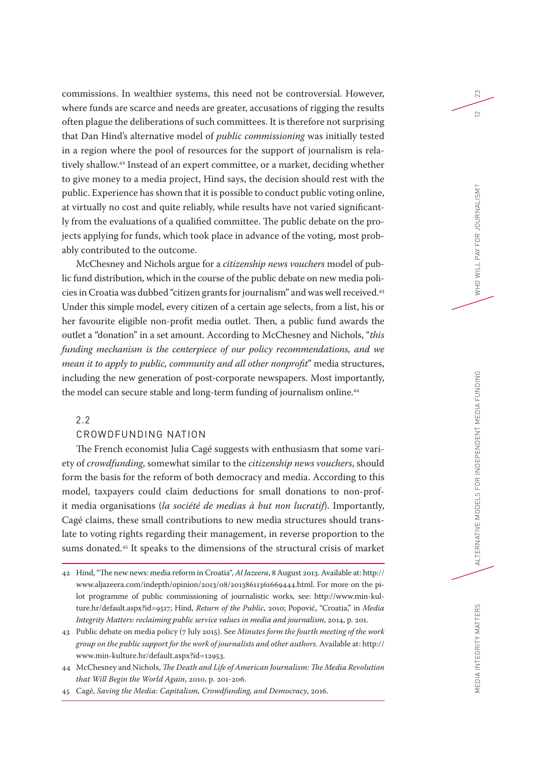commissions. In wealthier systems, this need not be controversial. However, where funds are scarce and needs are greater, accusations of rigging the results often plague the deliberations of such committees. It is therefore not surprising that Dan Hind's alternative model of *public commissioning* was initially tested in a region where the pool of resources for the support of journalism is relatively shallow.42 Instead of an expert committee, or a market, deciding whether to give money to a media project, Hind says, the decision should rest with the public. Experience has shown that it is possible to conduct public voting online, at virtually no cost and quite reliably, while results have not varied significantly from the evaluations of a qualified committee. The public debate on the projects applying for funds, which took place in advance of the voting, most probably contributed to the outcome.

McChesney and Nichols argue for a *citizenship news vouchers* model of public fund distribution, which in the course of the public debate on new media policies in Croatia was dubbed "citizen grants for journalism" and was well received.43 Under this simple model, every citizen of a certain age selects, from a list, his or her favourite eligible non-profit media outlet. Then, a public fund awards the outlet a "donation" in a set amount. According to McChesney and Nichols, "*this funding mechanism is the centerpiece of our policy recommendations, and we mean it to apply to public, community and all other nonprofit*" media structures, including the new generation of post-corporate newspapers. Most importantly, the model can secure stable and long-term funding of journalism online.<sup>44</sup>

#### 2.2

#### CROWDFUNDING NATION

The French economist Julia Cagé suggests with enthusiasm that some variety of *crowdfunding*, somewhat similar to the *citizenship news vouchers*, should form the basis for the reform of both democracy and media. According to this model, taxpayers could claim deductions for small donations to non-profit media organisations (*la société de medias à but non lucratif*). Importantly, Cagé claims, these small contributions to new media structures should translate to voting rights regarding their management, in reverse proportion to the sums donated.45 It speaks to the dimensions of the structural crisis of market 23

 $\overline{2}$ 

<sup>42</sup> Hind, "The new news: media reform in Croatia", *Al Jazeera*, 8 August 2013. Available at: [http://](http://www.aljazeera.com/indepth/opinion/2013/08/20138611361669444.html) [www.aljazeera.com/indepth/opinion/2013/08/20138611361669444.html.](http://www.aljazeera.com/indepth/opinion/2013/08/20138611361669444.html) For more on the pilot programme of public commissioning of journalistic works, see: [http://www.min-kul](http://www.min-kulture.hr/default.aspx?id=9517)[ture.hr/default.aspx?id=9517](http://www.min-kulture.hr/default.aspx?id=9517); Hind, *Return of the Public*, 2010; Popović, "Croatia," in *Media Integrity Matters: reclaiming public service values in media and journalism*, 2014, p. 201.

<sup>43</sup> Public debate on media policy (7 July 2015). See *Minutes form the fourth meeting of the work group on the public support for the work of journalists and other authors*. Available at: [http://](http://www.min-kulture.hr/default.aspx?id=12953) [www.min-kulture.hr/default.aspx?id=12953](http://www.min-kulture.hr/default.aspx?id=12953).

<sup>44</sup> McChesney and Nichols, *The Death and Life of American Journalism: The Media Revolution that Will Begin the World Again*, 2010, p. 201-206.

<sup>45</sup> Cagé, *Saving the Media: Capitalism, Crowdfunding, and Democracy*, 2016.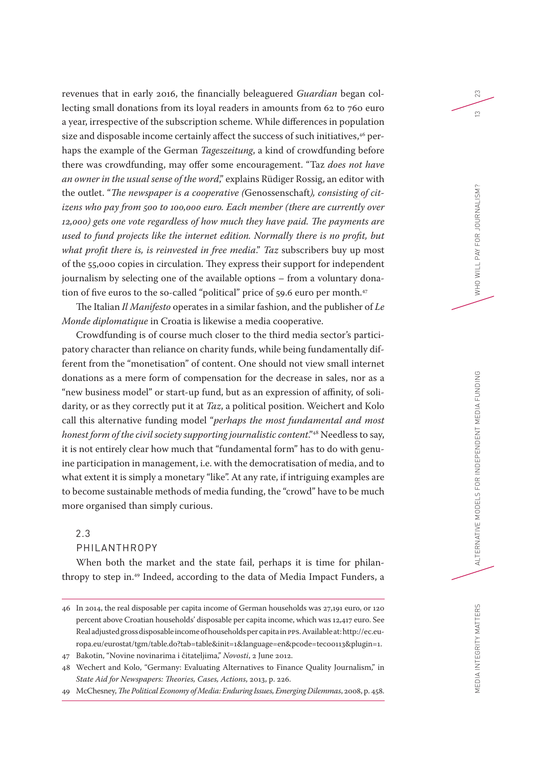revenues that in early 2016, the financially beleaguered *Guardian* began collecting small donations from its loyal readers in amounts from 62 to 760 euro a year, irrespective of the subscription scheme. While differences in population size and disposable income certainly affect the success of such initiatives,<sup>46</sup> perhaps the example of the German *Tageszeitung*, a kind of crowdfunding before there was crowdfunding, may offer some encouragement. "Taz *does not have an owner in the usual sense of the word*," explains Rüdiger Rossig, an editor with the outlet. "*The newspaper is a cooperative (*Genossenschaft*), consisting of citizens who pay from 500 to 100,000 euro. Each member (there are currently over 12,000) gets one vote regardless of how much they have paid. The payments are used to fund projects like the internet edition. Normally there is no profit, but what profit there is, is reinvested in free media*." *Taz* subscribers buy up most of the 55,000 copies in circulation. They express their support for independent journalism by selecting one of the available options – from a voluntary donation of five euros to the so-called "political" price of 59.6 euro per month.<sup>47</sup>

The Italian *Il Manifesto* operates in a similar fashion, and the publisher of *Le Monde diplomatique* in Croatia is likewise a media cooperative.

Crowdfunding is of course much closer to the third media sector's participatory character than reliance on charity funds, while being fundamentally different from the "monetisation" of content. One should not view small internet donations as a mere form of compensation for the decrease in sales, nor as a "new business model" or start-up fund, but as an expression of affinity, of solidarity, or as they correctly put it at *Taz*, a political position. Weichert and Kolo call this alternative funding model "*perhaps the most fundamental and most honest form of the civil society supporting journalistic content."<sup>48</sup> Needless to say,* it is not entirely clear how much that "fundamental form" has to do with genuine participation in management, i.e. with the democratisation of media, and to what extent it is simply a monetary "like". At any rate, if intriguing examples are to become sustainable methods of media funding, the "crowd" have to be much more organised than simply curious.

### 2.3

#### PHILANTHROPY

When both the market and the state fail, perhaps it is time for philanthropy to step in.49 Indeed, according to the data of Media Impact Funders, a 23

 $\tilde{c}$ 

<sup>46</sup> In 2014, the real disposable per capita income of German households was 27,191 euro, or 120 percent above Croatian households' disposable per capita income, which was 12,417 euro. See Real adjusted gross disposable income of households per capita in PPS. Available at: [http://ec.eu](http://ec.europa.eu/eurostat/tgm/table.do?tab=table&init=1&language=en&pcode=tec00113&plugin=1)[ropa.eu/eurostat/tgm/table.do?tab=table&init=1&language=en&pcode=tec00113&plugin=1.](http://ec.europa.eu/eurostat/tgm/table.do?tab=table&init=1&language=en&pcode=tec00113&plugin=1)

<sup>47</sup> Bakotin, "Novine novinarima i čitateljima," *Novosti*, 2 June 2012.

<sup>48</sup> Wechert and Kolo, "Germany: Evaluating Alternatives to Finance Quality Journalism," in *State Aid for Newspapers: Theories, Cases, Actions*, 2013, p. 226.

<sup>49</sup> McChesney, *The Political Economy of Media: Enduring Issues, Emerging Dilemmas*, 2008, p. 458.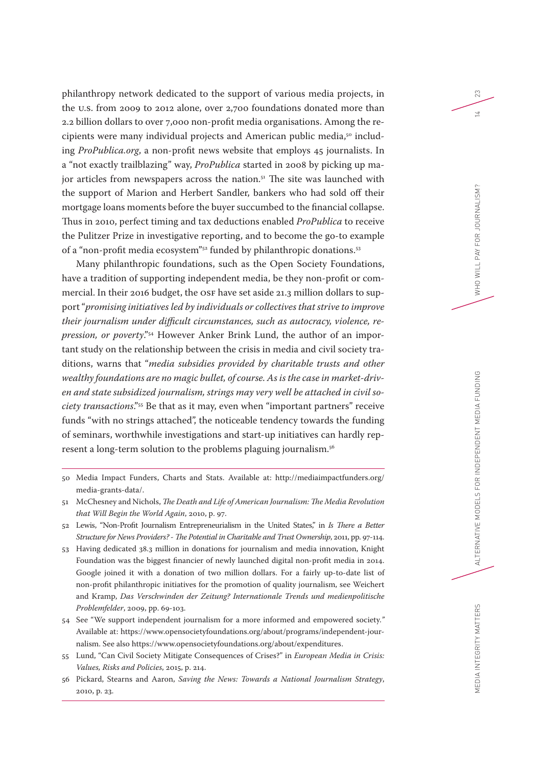philanthropy network dedicated to the support of various media projects, in the U.S. from 2009 to 2012 alone, over 2,700 foundations donated more than 2.2 billion dollars to over 7,000 non-profit media organisations. Among the recipients were many individual projects and American public media,<sup>50</sup> including *ProPublica.org*, a non-profit news website that employs 45 journalists. In a "not exactly trailblazing" way, *ProPublica* started in 2008 by picking up major articles from newspapers across the nation.<sup>51</sup> The site was launched with the support of Marion and Herbert Sandler, bankers who had sold off their mortgage loans moments before the buyer succumbed to the financial collapse. Thus in 2010, perfect timing and tax deductions enabled *ProPublica* to receive the Pulitzer Prize in investigative reporting, and to become the go-to example of a "non-profit media ecosystem"52 funded by philanthropic donations.53

Many philanthropic foundations, such as the Open Society Foundations, have a tradition of supporting independent media, be they non-profit or commercial. In their 2016 budget, the OSF have set aside 21.3 million dollars to support "*promising initiatives led by individuals or collectives that strive to improve their journalism under difficult circumstances, such as autocracy, violence, repression, or poverty*."54 However Anker Brink Lund, the author of an important study on the relationship between the crisis in media and civil society traditions, warns that "*media subsidies provided by charitable trusts and other wealthy foundations are no magic bullet, of course. As is the case in market-driven and state subsidized journalism, strings may very well be attached in civil society transactions*."55 Be that as it may, even when "important partners" receive funds "with no strings attached", the noticeable tendency towards the funding of seminars, worthwhile investigations and start-up initiatives can hardly represent a long-term solution to the problems plaguing journalism.56

- 50 Media Impact Funders, Charts and Stats. Available at: [http://mediaimpactfunders.org/](http://mediaimpactfunders.org/media-grants-data/) [media-grants-data/](http://mediaimpactfunders.org/media-grants-data/).
- 51 McChesney and Nichols, *The Death and Life of American Journalism: The Media Revolution that Will Begin the World Again*, 2010, p. 97.
- 52 Lewis, "Non-Profit Journalism Entrepreneurialism in the United States," in *Is There a Better Structure for News Providers? - The Potential in Charitable and Trust Ownership*, 2011, pp. 97-114.
- 53 Having dedicated 38.3 million in donations for journalism and media innovation, Knight Foundation was the biggest financier of newly launched digital non-profit media in 2014. Google joined it with a donation of two million dollars. For a fairly up-to-date list of non-profit philanthropic initiatives for the promotion of quality journalism, see Weichert and Kramp, *Das Verschwinden der Zeitung? Internationale Trends und medienpolitische Problemfelder*, 2009, pp. 69-103.
- 54 See "We support independent journalism for a more informed and empowered society.*"*  Available at: [https://www.opensocietyfoundations.org/about/programs/independent-jour](https://www.opensocietyfoundations.org/about/programs/independent-journalism)[nalism.](https://www.opensocietyfoundations.org/about/programs/independent-journalism) See also <https://www.opensocietyfoundations.org/about/expenditures>.
- 55 Lund, "Can Civil Society Mitigate Consequences of Crises?" in *European Media in Crisis: Values, Risks and Policies*, 2015, p. 214.

23

 $\overline{1}$ 

<sup>56</sup> Pickard, Stearns and Aaron, *Saving the News: Towards a National Journalism Strategy*, 2010, p. 23.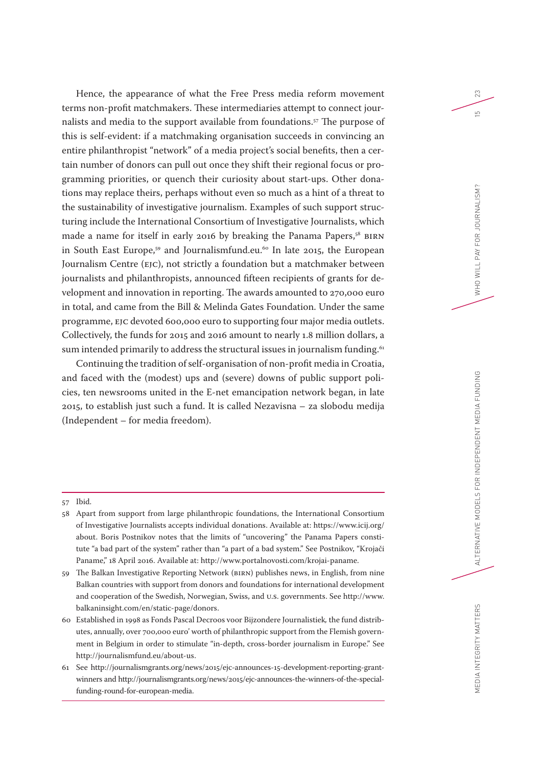Hence, the appearance of what the Free Press media reform movement terms non-profit matchmakers. These intermediaries attempt to connect journalists and media to the support available from foundations.<sup>57</sup> The purpose of this is self-evident: if a matchmaking organisation succeeds in convincing an entire philanthropist "network" of a media project's social benefits, then a certain number of donors can pull out once they shift their regional focus or programming priorities, or quench their curiosity about start-ups. Other donations may replace theirs, perhaps without even so much as a hint of a threat to the sustainability of investigative journalism. Examples of such support structuring include the International Consortium of Investigative Journalists, which made a name for itself in early 2016 by breaking the Panama Papers,<sup>58</sup> BIRN in South East Europe,<sup>59</sup> and Journalismfund.eu.<sup>60</sup> In late 2015, the European Journalism Centre (EJC), not strictly a foundation but a matchmaker between journalists and philanthropists, announced fifteen recipients of grants for development and innovation in reporting. The awards amounted to 270,000 euro in total, and came from the Bill & Melinda Gates Foundation. Under the same programme, EJC devoted 600,000 euro to supporting four major media outlets. Collectively, the funds for 2015 and 2016 amount to nearly 1.8 million dollars, a sum intended primarily to address the structural issues in journalism funding.<sup>61</sup>

Continuing the tradition of self-organisation of non-profit media in Croatia, and faced with the (modest) ups and (severe) downs of public support policies, ten newsrooms united in the E-net emancipation network began, in late 2015, to establish just such a fund. It is called Nezavisna – za slobodu medija (Independent – for media freedom).

#### 57 Ibid.

- 58 Apart from support from large philanthropic foundations, the International Consortium of Investigative Journalists accepts individual donations. Available at: [https://www.icij.org/](https://www.icij.org/about) [about](https://www.icij.org/about). Boris Postnikov notes that the limits of "uncovering" the Panama Papers constitute "a bad part of the system" rather than "a part of a bad system." See Postnikov, "Krojači Paname," 18 April 2016. Available at:<http://www.portalnovosti.com/krojai-paname>.
- 59 The Balkan Investigative Reporting Network (BIRN) publishes news, in English, from nine Balkan countries with support from donors and foundations for international development and cooperation of the Swedish, Norwegian, Swiss, and U.S. governments. See [http://www.](http://www.balkaninsight.com/en/static-page/donors) [balkaninsight.com/en/static-page/donors.](http://www.balkaninsight.com/en/static-page/donors)
- 60 Established in 1998 as Fonds Pascal Decroos voor Bijzondere Journalistiek*,* the fund distributes, annually, over 700,000 euro' worth of philanthropic support from the Flemish government in Belgium in order to stimulate "in-depth, cross-border journalism in Europe." See <http://journalismfund.eu/about-us>.

MEDIA INTEGRITY MATTERS

23

 $\overline{5}$ 

<sup>61</sup> See [http://journalismgrants.org/news/2015/ejc-announces-15-development-reporting-grant](http://journalismgrants.org/news/2015/ejc-announces-15-development-reporting-grant-winners)[winners](http://journalismgrants.org/news/2015/ejc-announces-15-development-reporting-grant-winners) and [http://journalismgrants.org/news/2015/ejc-announces-the-winners-of-the-special](http://journalismgrants.org/news/2015/ejc-announces-the-winners-of-the-special-funding-round-for-european-media)[funding-round-for-european-media](http://journalismgrants.org/news/2015/ejc-announces-the-winners-of-the-special-funding-round-for-european-media).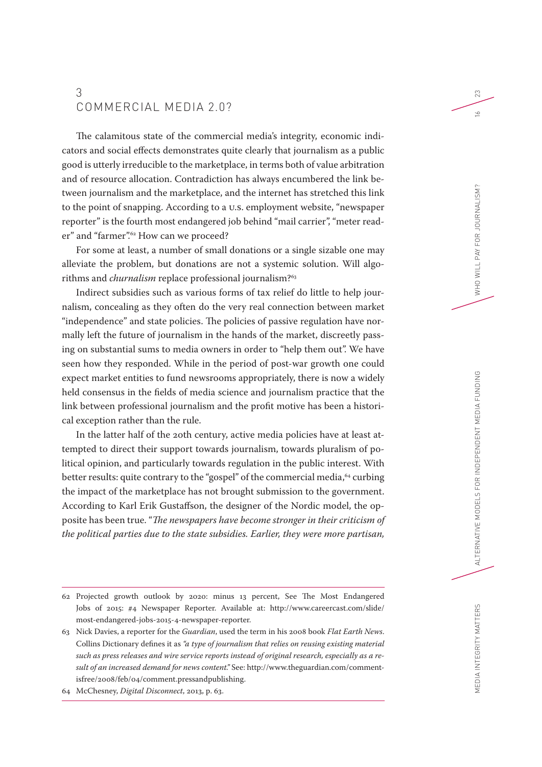# 3 COMMERCIAL MEDIA 2.0?

The calamitous state of the commercial media's integrity, economic indicators and social effects demonstrates quite clearly that journalism as a public good is utterly irreducible to the marketplace, in terms both of value arbitration and of resource allocation. Contradiction has always encumbered the link between journalism and the marketplace, and the internet has stretched this link to the point of snapping. According to a U.S. employment website, "newspaper reporter" is the fourth most endangered job behind "mail carrier", "meter reader" and "farmer".<sup>62</sup> How can we proceed?

For some at least, a number of small donations or a single sizable one may alleviate the problem, but donations are not a systemic solution. Will algorithms and *churnalism* replace professional journalism?<sup>63</sup>

Indirect subsidies such as various forms of tax relief do little to help journalism, concealing as they often do the very real connection between market "independence" and state policies. The policies of passive regulation have normally left the future of journalism in the hands of the market, discreetly passing on substantial sums to media owners in order to "help them out". We have seen how they responded. While in the period of post-war growth one could expect market entities to fund newsrooms appropriately, there is now a widely held consensus in the fields of media science and journalism practice that the link between professional journalism and the profit motive has been a historical exception rather than the rule.

In the latter half of the 20th century, active media policies have at least attempted to direct their support towards journalism, towards pluralism of political opinion, and particularly towards regulation in the public interest. With better results: quite contrary to the "gospel" of the commercial media,<sup>64</sup> curbing the impact of the marketplace has not brought submission to the government. According to Karl Erik Gustaffson, the designer of the Nordic model, the opposite has been true. "*The newspapers have become stronger in their criticism of the political parties due to the state subsidies. Earlier, they were more partisan,* 

23

 $\leq$ 

<sup>62</sup> Projected growth outlook by 2020: minus 13 percent, See The Most Endangered Jobs of 2015: #4 Newspaper Reporter. Available at: [http://www.careercast.com/slide/](http://www.careercast.com/slide/most-endangered-jobs-2015-4-newspaper-reporter) [most-endangered-jobs-2015-4-newspaper-reporter.](http://www.careercast.com/slide/most-endangered-jobs-2015-4-newspaper-reporter)

<sup>63</sup> Nick Davies, a reporter for the *Guardian*, used the term in his 2008 book *Flat Earth News*. Collins Dictionary defines it as *"a type of journalism that relies on reusing existing material such as press releases and wire service reports instead of original research, especially as a result of an increased demand for news content."* See: [http://www.theguardian.com/comment](http://www.theguardian.com/commentisfree/2008/feb/04/comment.pressandpublishing)[isfree/2008/feb/04/comment.pressandpublishing](http://www.theguardian.com/commentisfree/2008/feb/04/comment.pressandpublishing).

<sup>64</sup> McChesney, *Digital Disconnect*, 2013, p. 63.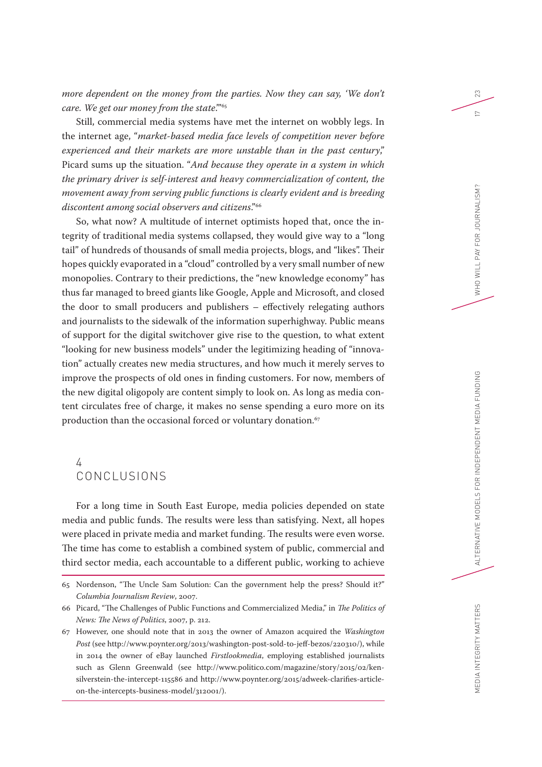*more dependent on the money from the parties. Now they can say, 'We don't care. We get our money from the state*.'"65

Still, commercial media systems have met the internet on wobbly legs. In the internet age, "*market-based media face levels of competition never before experienced and their markets are more unstable than in the past century*," Picard sums up the situation. "*And because they operate in a system in which the primary driver is self-interest and heavy commercialization of content, the movement away from serving public functions is clearly evident and is breeding discontent among social observers and citizens*."66

So, what now? A multitude of internet optimists hoped that, once the integrity of traditional media systems collapsed, they would give way to a "long tail" of hundreds of thousands of small media projects, blogs, and "likes". Their hopes quickly evaporated in a "cloud" controlled by a very small number of new monopolies. Contrary to their predictions, the "new knowledge economy" has thus far managed to breed giants like Google, Apple and Microsoft, and closed the door to small producers and publishers – effectively relegating authors and journalists to the sidewalk of the information superhighway. Public means of support for the digital switchover give rise to the question, to what extent "looking for new business models" under the legitimizing heading of "innovation" actually creates new media structures, and how much it merely serves to improve the prospects of old ones in finding customers. For now, members of the new digital oligopoly are content simply to look on. As long as media content circulates free of charge, it makes no sense spending a euro more on its production than the occasional forced or voluntary donation.<sup>67</sup>

# 4 CONCLUSIONS

For a long time in South East Europe, media policies depended on state media and public funds. The results were less than satisfying. Next, all hopes were placed in private media and market funding. The results were even worse. The time has come to establish a combined system of public, commercial and third sector media, each accountable to a different public, working to achieve

MEDIA INTEGRITY MATTERS

23

 $\sim$ 

<sup>65</sup> Nordenson, "The Uncle Sam Solution: Can the government help the press? Should it?" *Columbia Journalism Review*, 2007.

<sup>66</sup> Picard, "The Challenges of Public Functions and Commercialized Media," in *The Politics of News: The News of Politics*, 2007, p. 212.

<sup>67</sup> However, one should note that in 2013 the owner of Amazon acquired the *Washington Post* (see http://www.poynter.org/2013/washington-post-sold-to-jeff-bezos/220310/), while in 2014 the owner of eBay launched *Firstlookmedia*, employing established journalists such as Glenn Greenwald (see [http://www.politico.com/magazine/story/2015/02/ken](http://www.politico.com/magazine/story/2015/02/ken-silverstein-the-intercept-115586)[silverstein-the-intercept-115586](http://www.politico.com/magazine/story/2015/02/ken-silverstein-the-intercept-115586) and [http://www.poynter.org/2015/adweek-clarifies-article](http://www.poynter.org/2015/adweek-clarifies-article-on-the-intercepts-business-model/312001/)[on-the-intercepts-business-model/312001/\)](http://www.poynter.org/2015/adweek-clarifies-article-on-the-intercepts-business-model/312001/).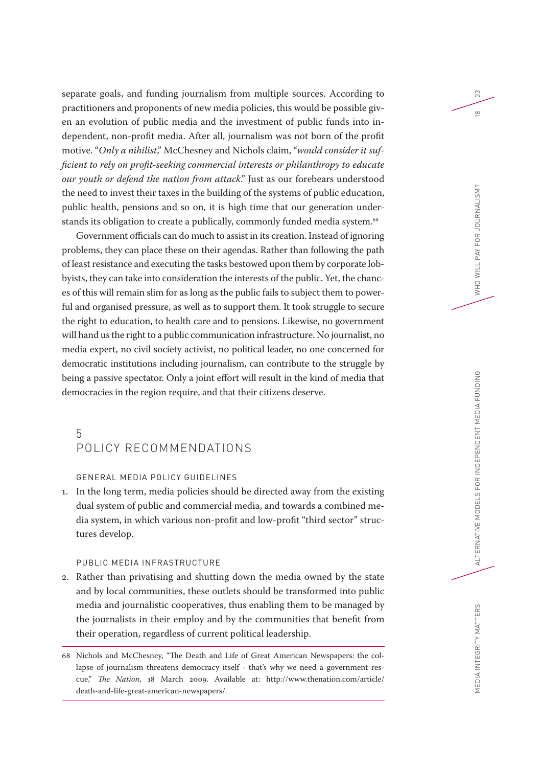separate goals, and funding journalism from multiple sources. According to practitioners and proponents of new media policies, this would be possible given an evolution of public media and the investment of public funds into independent, non-profit media. After all, journalism was not born of the profit motive. "*Only a nihilist*," McChesney and Nichols claim, "*would consider it sufficient to rely on profit-seeking commercial interests or philanthropy to educate our youth or defend the nation from attack*." Just as our forebears understood the need to invest their taxes in the building of the systems of public education, public health, pensions and so on, it is high time that our generation understands its obligation to create a publically, commonly funded media system.<sup>68</sup>

Government officials can do much to assist in its creation. Instead of ignoring problems, they can place these on their agendas. Rather than following the path of least resistance and executing the tasks bestowed upon them by corporate lobbyists, they can take into consideration the interests of the public. Yet, the chances of this will remain slim for as long as the public fails to subject them to powerful and organised pressure, as well as to support them. It took struggle to secure the right to education, to health care and to pensions. Likewise, no government will hand us the right to a public communication infrastructure. No journalist, no media expert, no civil society activist, no political leader, no one concerned for democratic institutions including journalism, can contribute to the struggle by being a passive spectator. Only a joint effort will result in the kind of media that democracies in the region require, and that their citizens deserve.

## 5 POLICY RECOMMENDATIONS

#### GENERAL MEDIA POLICY GUIDELINES

1. In the long term, media policies should be directed away from the existing dual system of public and commercial media, and towards a combined media system, in which various non-profit and low-profit "third sector" structures develop.

#### PUBLIC MEDIA INFRASTRUCTURE

2. Rather than privatising and shutting down the media owned by the state and by local communities, these outlets should be transformed into public media and journalistic cooperatives, thus enabling them to be managed by the journalists in their employ and by the communities that benefit from their operation, regardless of current political leadership.

68 Nichols and McChesney, "The Death and Life of Great American Newspapers: the collapse of journalism threatens democracy itself - that's why we need a government rescue," *The Nation*, 18 March 2009. Available at: [http://www.thenation.com/article/](http://www.thenation.com/article/death-and-life-great-american-newspapers/) [death-and-life-great-american-newspapers/](http://www.thenation.com/article/death-and-life-great-american-newspapers/).

23

 $\frac{\infty}{2}$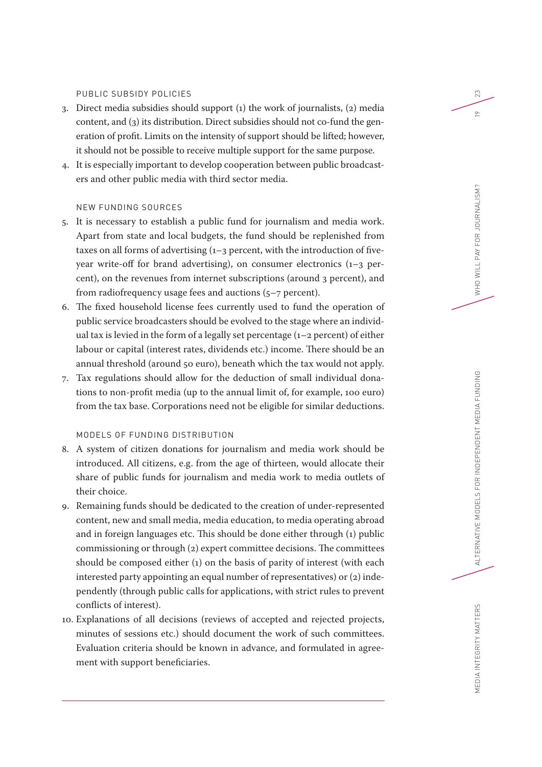#### PUBLIC SUBSIDY POLICIES

- 3. Direct media subsidies should support (1) the work of journalists, (2) media content, and (3) its distribution. Direct subsidies should not co-fund the generation of profit. Limits on the intensity of support should be lifted; however, it should not be possible to receive multiple support for the same purpose.
- 4. It is especially important to develop cooperation between public broadcasters and other public media with third sector media.

#### NEW FUNDING SOURCES

- 5. It is necessary to establish a public fund for journalism and media work. Apart from state and local budgets, the fund should be replenished from taxes on all forms of advertising  $(1-3)$  percent, with the introduction of fiveyear write-off for brand advertising), on consumer electronics (1–3 percent), on the revenues from internet subscriptions (around 3 percent), and from radiofrequency usage fees and auctions (5–7 percent).
- 6. The fixed household license fees currently used to fund the operation of public service broadcasters should be evolved to the stage where an individual tax is levied in the form of a legally set percentage  $(1-2$  percent) of either labour or capital (interest rates, dividends etc.) income. There should be an annual threshold (around 50 euro), beneath which the tax would not apply.
- 7. Tax regulations should allow for the deduction of small individual donations to non-profit media (up to the annual limit of, for example, 100 euro) from the tax base. Corporations need not be eligible for similar deductions.

### MODELS OF FUNDING DISTRIBUTION

- 8. A system of citizen donations for journalism and media work should be introduced. All citizens, e.g. from the age of thirteen, would allocate their share of public funds for journalism and media work to media outlets of their choice.
- 9. Remaining funds should be dedicated to the creation of under-represented content, new and small media, media education, to media operating abroad and in foreign languages etc. This should be done either through (1) public commissioning or through (2) expert committee decisions. The committees should be composed either (1) on the basis of parity of interest (with each interested party appointing an equal number of representatives) or (2) independently (through public calls for applications, with strict rules to prevent conflicts of interest).
- 10. Explanations of all decisions (reviews of accepted and rejected projects, minutes of sessions etc.) should document the work of such committees. Evaluation criteria should be known in advance, and formulated in agreement with support beneficiaries.

MEDIA INTEGRITY MATTERS

23

 $\approx$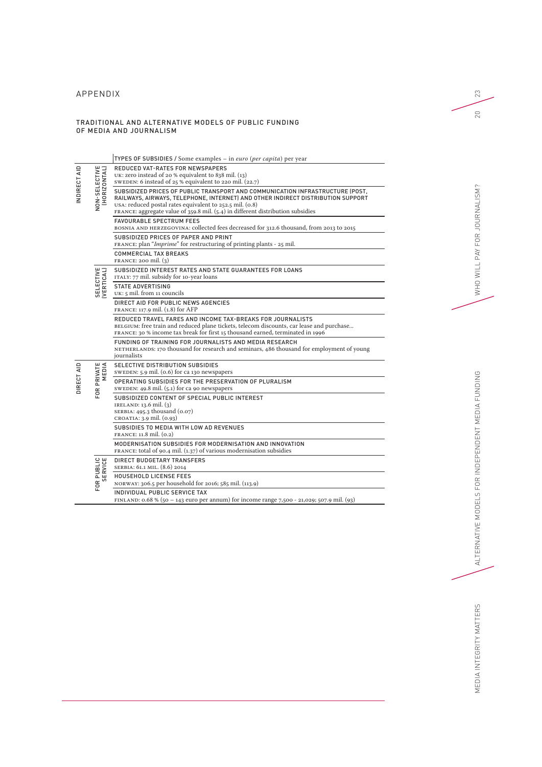## APPENDIX

#### TRADITIONAL AND ALTERNATIVE MODELS OF PUBLIC FUNDING OF MEDIA AND JOURNALISM

|              |                               | TYPES OF SUBSIDIES / Some examples - in euro (per capita) per year                                                                                                                                                                                                                                                                                                                                                                                                                                          |
|--------------|-------------------------------|-------------------------------------------------------------------------------------------------------------------------------------------------------------------------------------------------------------------------------------------------------------------------------------------------------------------------------------------------------------------------------------------------------------------------------------------------------------------------------------------------------------|
| INDIRECT AID | NON-SELECTIVE<br>(HORIZONTAL) | REDUCED VAT-RATES FOR NEWSPAPERS<br>UK: zero instead of 20 % equivalent to 838 mil. $(13)$<br>SWEDEN: 6 instead of 25 % equivalent to 220 mil. (22.7)<br>SUBSIDIZED PRICES OF PUBLIC TRANSPORT AND COMMUNICATION INFRASTRUCTURE (POST,<br>RAILWAYS, AIRWAYS, TELEPHONE, INTERNET) AND OTHER INDIRECT DISTRIBUTION SUPPORT<br>USA: reduced postal rates equivalent to 252.5 mil. (0.8)<br>FRANCE: aggregate value of 359.8 mil. (5.4) in different distribution subsidies<br><b>FAVOURABLE SPECTRUM FEES</b> |
|              |                               | BOSNIA AND HERZEGOVINA: collected fees decreased for 312.6 thousand, from 2013 to 2015<br>SUBSIDIZED PRICES OF PAPER AND PRINT<br>FRANCE: plan " <i>Imprime</i> " for restructuring of printing plants - 25 mil.<br><b>COMMERCIAL TAX BREAKS</b><br>FRANCE: 200 mil. $(3)$                                                                                                                                                                                                                                  |
|              | SELECTIVE<br><b>VERTICAL</b>  | SUBSIDIZED INTEREST RATES AND STATE GUARANTEES FOR LOANS<br>ITALY: 77 mil. subsidy for 10-year loans                                                                                                                                                                                                                                                                                                                                                                                                        |
|              |                               | <b>STATE ADVERTISING</b><br>UK: 5 mil. from 11 councils                                                                                                                                                                                                                                                                                                                                                                                                                                                     |
|              |                               | DIRECT AID FOR PUBLIC NEWS AGENCIES<br>FRANCE: 117.9 mil. (1.8) for AFP                                                                                                                                                                                                                                                                                                                                                                                                                                     |
|              |                               | REDUCED TRAVEL FARES AND INCOME TAX-BREAKS FOR JOURNALISTS<br>BELGIUM: free train and reduced plane tickets, telecom discounts, car lease and purchase<br>FRANCE: 30 % income tax break for first 15 thousand earned, terminated in 1996                                                                                                                                                                                                                                                                    |
|              |                               | FUNDING OF TRAINING FOR JOURNALISTS AND MEDIA RESEARCH<br>NETHERLANDS: 170 thousand for research and seminars, 486 thousand for employment of young<br>journalists                                                                                                                                                                                                                                                                                                                                          |
|              | PRIVATE<br>MEDIA<br>FOR       | SELECTIVE DISTRIBUTION SUBSIDIES<br>SWEDEN: 5.9 mil. (0.6) for ca 130 newspapers                                                                                                                                                                                                                                                                                                                                                                                                                            |
| DIRECT AID   |                               | OPERATING SUBSIDIES FOR THE PRESERVATION OF PLURALISM<br>SWEDEN: 49.8 mil. (5.1) for ca 90 newspapers                                                                                                                                                                                                                                                                                                                                                                                                       |
|              |                               | SUBSIDIZED CONTENT OF SPECIAL PUBLIC INTEREST<br>IRELAND: $13.6$ mil. $(3)$<br>SERBIA: 495.3 thousand (0.07)<br>CROATIA: 3.9 mil. (0.93)                                                                                                                                                                                                                                                                                                                                                                    |
|              |                               | SUBSIDIES TO MEDIA WITH LOW AD REVENUES<br>FRANCE: 11.8 mil. (0.2)                                                                                                                                                                                                                                                                                                                                                                                                                                          |
|              |                               | MODERNISATION SUBSIDIES FOR MODERNISATION AND INNOVATION<br>FRANCE: total of 90.4 mil. (1.37) of various modernisation subsidies                                                                                                                                                                                                                                                                                                                                                                            |
|              | FOR PUBLIC<br>SERVICE         | <b>DIRECT BUDGETARY TRANSFERS</b><br>SERBIA: 61.1 MIL. (8.6) 2014                                                                                                                                                                                                                                                                                                                                                                                                                                           |
|              |                               | <b>HOUSEHOLD LICENSE FEES</b><br>NORWAY: 306.5 per household for 2016; 585 mil. (113.9)                                                                                                                                                                                                                                                                                                                                                                                                                     |
|              |                               | INDIVIDUAL PUBLIC SERVICE TAX<br>FINLAND: 0.68 % (50 – 143 euro per annum) for income range 7,500 - 21,029; 507.9 mil. (93)                                                                                                                                                                                                                                                                                                                                                                                 |

23

20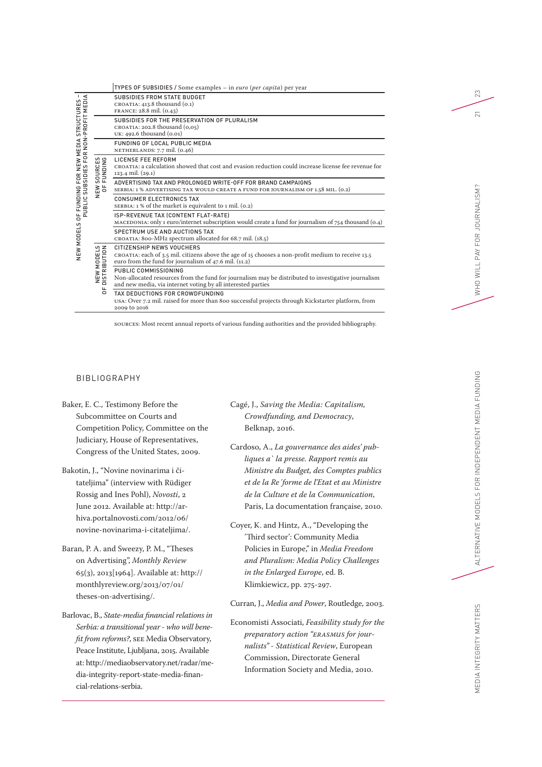|                                                                                                                                 |                                  | TYPES OF SUBSIDIES / Some examples - in euro (per capita) per year                                                                                                                           |
|---------------------------------------------------------------------------------------------------------------------------------|----------------------------------|----------------------------------------------------------------------------------------------------------------------------------------------------------------------------------------------|
| URES –<br>MEDIA<br><b>STRUCTURES</b><br>-PROFIT<br>NON-<br>ING FOR NEW MEDIA<br>SUBSIDIES FOR NON<br>OF FUNDING I<br>PUBLIC SUB |                                  | SUBSIDIES FROM STATE BUDGET<br>CROATIA: $413.8$ thousand $(0.1)$<br>FRANCE: 28.8 mil. (0.43)                                                                                                 |
|                                                                                                                                 |                                  | SUBSIDIES FOR THE PRESERVATION OF PLURALISM<br>CROATIA: 202.8 thousand (0,05)<br>UK: 492.6 thousand (0.01)                                                                                   |
|                                                                                                                                 |                                  | FUNDING OF LOCAL PUBLIC MEDIA<br>NETHERLANDS: 7.7 mil. (0.46)                                                                                                                                |
|                                                                                                                                 | ဖ ဇ<br>NEW SOURCES<br>OF FUNDING | LICENSE FEE REFORM<br>CROATIA: a calculation showed that cost and evasion reduction could increase license fee revenue for<br>123.4 mil. (29.1)                                              |
|                                                                                                                                 |                                  | ADVERTISING TAX AND PROLONGED WRITE-OFF FOR BRAND CAMPAIGNS<br>SERBIA: 1 % ADVERTISING TAX WOULD CREATE A FUND FOR JOURNALISM OF 1.58 MIL. (0.2)                                             |
|                                                                                                                                 |                                  | <b>CONSUMER ELECTRONICS TAX</b><br>SERBIA: $1\%$ of the market is equivalent to $1$ mil. (0.2)                                                                                               |
|                                                                                                                                 |                                  | ISP-REVENUE TAX (CONTENT FLAT-RATE)<br>MACEDONIA: only 1 euro/internet subscription would create a fund for journalism of 754 thousand (0.4)                                                 |
|                                                                                                                                 |                                  | SPECTRUM USE AND AUCTIONS TAX<br>CROATIA: 800-MHz spectrum allocated for 68.7 mil. (18.5)                                                                                                    |
| <b>NEW MODELS</b>                                                                                                               | NEW MODELS<br>DISTRIBUTION<br>농  | CITIZENSHIP NEWS VOUCHERS<br>CROATIA: each of 3.5 mil. citizens above the age of 15 chooses a non-profit medium to receive 13.5<br>euro from the fund for journalism of $47.6$ mil. $(11.2)$ |
|                                                                                                                                 |                                  | PUBLIC COMMISSIONING<br>Non-allocated resources from the fund for journalism may be distributed to investigative journalism<br>and new media, via internet voting by all interested parties  |
|                                                                                                                                 |                                  | TAX DEDUCTIONS FOR CROWDFUNDING<br>USA: Over 7.2 mil. raised for more than 800 successful projects through Kickstarter platform, from<br>2009 to 2016                                        |

Sources: Most recent annual reports of various funding authorities and the provided bibliography.

#### BIBLIOGRAPHY

- Baker, E. C., Testimony Before the Subcommittee on Courts and Competition Policy, Committee on the Judiciary, House of Representatives, Congress of the United States, 2009.
- Bakotin, J., "Novine novinarima i čitateljima" (interview with Rüdiger Rossig and Ines Pohl), *Novosti*, 2 June 2012. Available at: [http://ar](http://arhiva.portalnovosti.com/2012/06/novine-novinarima-i-citateljima/)[hiva.portalnovosti.com/2012/06/](http://arhiva.portalnovosti.com/2012/06/novine-novinarima-i-citateljima/) [novine-novinarima-i-citateljima/](http://arhiva.portalnovosti.com/2012/06/novine-novinarima-i-citateljima/).
- Baran, P. A. and Sweezy, P. M., "Theses on Advertising", *Monthly Review* 65(3), 2013[1964]. Available at: [http://](http://monthlyreview.org/2013/07/01/theses-on-advertising/) [monthlyreview.org/2013/07/01/](http://monthlyreview.org/2013/07/01/theses-on-advertising/) [theses-on-advertising/](http://monthlyreview.org/2013/07/01/theses-on-advertising/).
- Barlovac, B., *State-media financial relations in Serbia: a transitional year - who will benefit from reforms?*, SEE Media Observatory, Peace Institute, Ljubljana, 2015. Available at: [http://mediaobservatory.net/radar/me](http://mediaobservatory.net/radar/media-integrity-report-state-media-financial-relations-serbia)[dia-integrity-report-state-media-finan](http://mediaobservatory.net/radar/media-integrity-report-state-media-financial-relations-serbia)[cial-relations-serbia.](http://mediaobservatory.net/radar/media-integrity-report-state-media-financial-relations-serbia)

Cagé, J., *Saving the Media: Capitalism, Crowdfunding, and Democracy*, Belknap, 2016.

- Cardoso, A., *La gouvernance des aides' publiques a` la presse. Rapport remis au Ministre du Budget, des Comptes publics et de la Re´forme de l'Etat et au Ministre de la Culture et de la Communication*, Paris, La documentation française, 2010.
- Coyer, K. and Hintz, A., "Developing the 'Third sector': Community Media Policies in Europe," in *Media Freedom and Pluralism: Media Policy Challenges in the Enlarged Europe*, ed. B. Klimkiewicz, pp. 275-297.

Curran, J., *Media and Power*, Routledge, 2003.

Economisti Associati, *Feasibility study for the preparatory action "ERASMUS for journalists" - Statistical Review*, European Commission, Directorate General Information Society and Media, 2010.

23

 $\overline{21}$ 

WHO WILL PAY FOR JOURNALISM?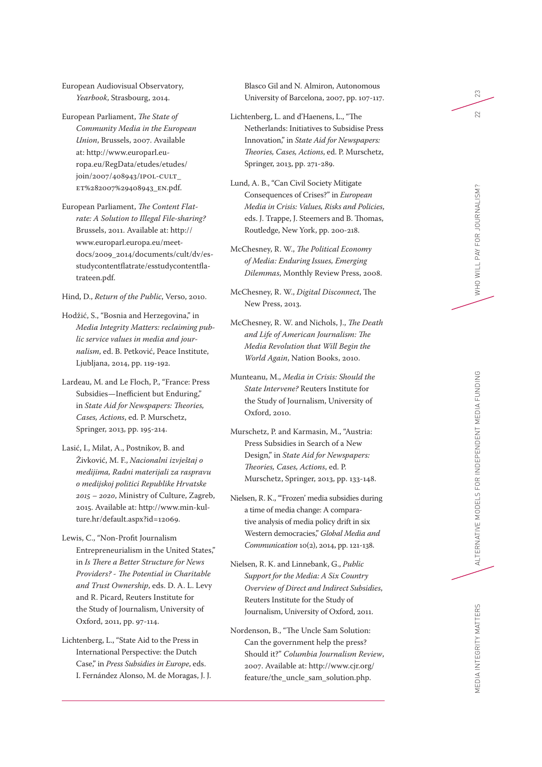European Audiovisual Observatory, *Yearbook*, Strasbourg, 2014.

European Parliament, *The State of Community Media in the European Union*, Brussels, 2007. Available at: [http://www.europarl.eu](http://www.europarl.europa.eu/RegData/etudes/etudes/join/2007/408943/IPOL-CULT_ET%282007%29408943_EN.pdf) [ropa.eu/RegData/etudes/etudes/](http://www.europarl.europa.eu/RegData/etudes/etudes/join/2007/408943/IPOL-CULT_ET%282007%29408943_EN.pdf) [join/2007/408943/IPOL-CULT\\_](http://www.europarl.europa.eu/RegData/etudes/etudes/join/2007/408943/IPOL-CULT_ET%282007%29408943_EN.pdf) [ET%282007%29408943\\_EN.pdf.](http://www.europarl.europa.eu/RegData/etudes/etudes/join/2007/408943/IPOL-CULT_ET%282007%29408943_EN.pdf)

European Parliament, *The Content Flatrate: A Solution to Illegal File-sharing?* Brussels, 2011. Available at: [http://](http://www.europarl.europa.eu/meetdocs/2009_2014/documents/cult/dv/esstudycontentflatrate/esstudycontentflatrateen.pdf) [www.europarl.europa.eu/meet](http://www.europarl.europa.eu/meetdocs/2009_2014/documents/cult/dv/esstudycontentflatrate/esstudycontentflatrateen.pdf) [docs/2009\\_2014/documents/cult/dv/es](http://www.europarl.europa.eu/meetdocs/2009_2014/documents/cult/dv/esstudycontentflatrate/esstudycontentflatrateen.pdf) [studycontentflatrate/esstudycontentfla](http://www.europarl.europa.eu/meetdocs/2009_2014/documents/cult/dv/esstudycontentflatrate/esstudycontentflatrateen.pdf) [trateen.pdf.](http://www.europarl.europa.eu/meetdocs/2009_2014/documents/cult/dv/esstudycontentflatrate/esstudycontentflatrateen.pdf)

Hind, D., *Return of the Public*, Verso, 2010.

Hodžić, S., "Bosnia and Herzegovina," in *Media Integrity Matters: reclaiming pub lic service values in media and jour nalism*, ed. B. Petković, Peace Institute, Ljubljana, 2014, pp. 119-192.

Lardeau, M. and Le Floch, P., "France: Press Subsidies—Inefficient but Enduring," in *State Aid for Newspapers: Theories, Cases, Actions*, ed. P. Murschetz, Springer, 2013, pp. 195-214.

Lasić, I., Milat, A., Postnikov, B. and Živković, M. F., *Nacionalni izvještaj o medijima, Radni materijali za raspravu o medijskoj politici Republike Hrvatske 2015 – 2020*, Ministry of Culture, Zagreb, 2015. Available at: [http://www.min-kul](http://www.min-kulture.hr/default.aspx?id=12069) [ture.hr/default.aspx?id=12069.](http://www.min-kulture.hr/default.aspx?id=12069)

Lewis, C., "Non-Profit Journalism Entrepreneurialism in the United States," in *Is There a Better Structure for News Providers? - The Potential in Charitable and Trust Ownership*, eds. D. A. L. Levy and R. Picard, Reuters Institute for the Study of Journalism, University of Oxford, 2011, pp. 97-114.

Lichtenberg, L., "State Aid to the Press in International Perspective: the Dutch Case," in *Press Subsidies in Europe*, eds. I. Fernández Alonso, M. de Moragas, J. J. Blasco Gil and N. Almiron, Autonomous University of Barcelona, 2007, pp. 107-117.

- Lichtenberg, L. and d'Haenens, L., "The Netherlands: Initiatives to Subsidise Press Innovation," in *State Aid for Newspapers: Theories, Cases, Actions*, ed. P. Murschetz, Springer, 2013, pp. 271-289.
- Lund, A. B., "Can Civil Society Mitigate Consequences of Crises?" in *European Media in Crisis: Values, Risks and Policies*, eds. J. Trappe, J. Steemers and B. Thomas, Routledge, New York, pp. 200-218.
- McChesney, R. W., *The Political Economy of Media: Enduring Issues, Emerging Dilemmas*, Monthly Review Press, 2008.
- McChesney, R. W., *Digital Disconnect*, The New Press, 2013.
- McChesney, R. W. and Nichols, J., *The Death and Life of American Journalism: The Media Revolution that Will Begin the World Again*, Nation Books, 2010.
- Munteanu, M., *Media in Crisis: Should the State Intervene?* Reuters Institute for the Study of Journalism, University of Oxford, 2010.
- Murschetz, P. and Karmasin, M., "Austria: Press Subsidies in Search of a New Design," in *State Aid for Newspapers: Theories, Cases, Actions*, ed. P. Murschetz, Springer, 2013, pp. 133-148.
- Nielsen, R. K., "'Frozen' media subsidies during a time of media change: A compara tive analysis of media policy drift in six Western democracies," *Global Media and Communication* 10(2), 2014, pp. 121-138.
- Nielsen, R. K. and Linnebank, G., *Public Support for the Media: A Six Country Overview of Direct and Indirect Subsidies*, Reuters Institute for the Study of Journalism, University of Oxford, 2011.
- Nordenson, B., "The Uncle Sam Solution: Can the government help the press? Should it?" *Columbia Journalism Review*, 2007. Available at: [http://www.cjr.org/](http://www.cjr.org/feature/the_uncle_sam_solution.php) [feature/the\\_uncle\\_sam\\_solution.php.](http://www.cjr.org/feature/the_uncle_sam_solution.php)

 $23\,$